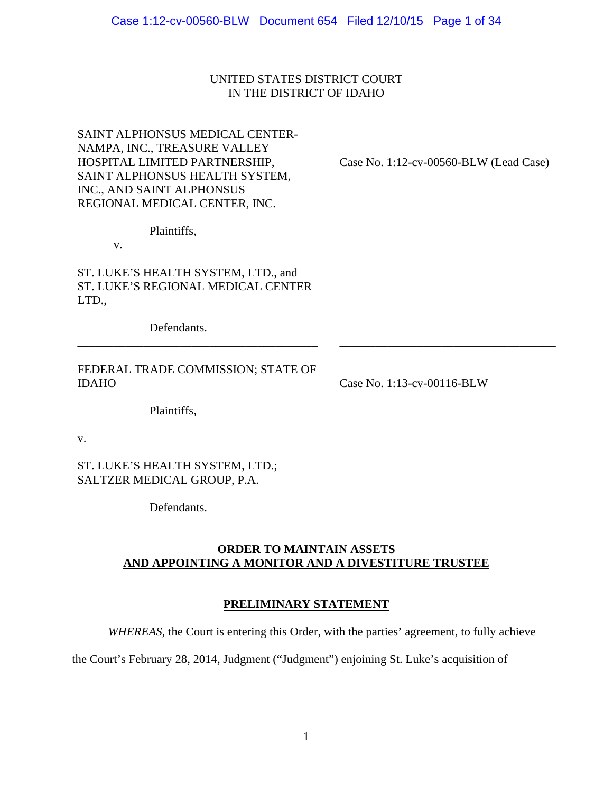### UNITED STATES DISTRICT COURT IN THE DISTRICT OF IDAHO

| SAINT ALPHONSUS MEDICAL CENTER-<br>NAMPA, INC., TREASURE VALLEY<br>HOSPITAL LIMITED PARTNERSHIP,<br>SAINT ALPHONSUS HEALTH SYSTEM,<br>INC., AND SAINT ALPHONSUS<br>REGIONAL MEDICAL CENTER, INC. | Case No. 1:12-cv-00560-BLW (Lead Case) |
|--------------------------------------------------------------------------------------------------------------------------------------------------------------------------------------------------|----------------------------------------|
| Plaintiffs,<br>V.                                                                                                                                                                                |                                        |
| ST. LUKE'S HEALTH SYSTEM, LTD., and<br>ST. LUKE'S REGIONAL MEDICAL CENTER<br>LTD.,                                                                                                               |                                        |
| Defendants.                                                                                                                                                                                      |                                        |
| FEDERAL TRADE COMMISSION; STATE OF<br><b>IDAHO</b>                                                                                                                                               | Case No. 1:13-cv-00116-BLW             |
| Plaintiffs,                                                                                                                                                                                      |                                        |
| V.                                                                                                                                                                                               |                                        |
| ST. LUKE'S HEALTH SYSTEM, LTD.;<br>SALTZER MEDICAL GROUP, P.A.                                                                                                                                   |                                        |
| Defendants.                                                                                                                                                                                      |                                        |

### **ORDER TO MAINTAIN ASSETS AND APPOINTING A MONITOR AND A DIVESTITURE TRUSTEE**

### **PRELIMINARY STATEMENT**

*WHEREAS,* the Court is entering this Order, with the parties' agreement, to fully achieve

the Court's February 28, 2014, Judgment ("Judgment") enjoining St. Luke's acquisition of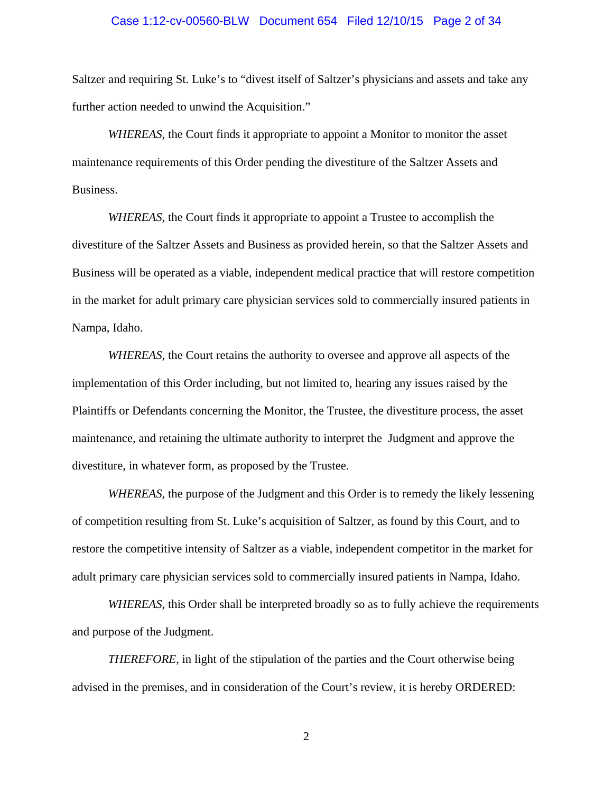#### Case 1:12-cv-00560-BLW Document 654 Filed 12/10/15 Page 2 of 34

Saltzer and requiring St. Luke's to "divest itself of Saltzer's physicians and assets and take any further action needed to unwind the Acquisition."

*WHEREAS,* the Court finds it appropriate to appoint a Monitor to monitor the asset maintenance requirements of this Order pending the divestiture of the Saltzer Assets and Business.

*WHEREAS,* the Court finds it appropriate to appoint a Trustee to accomplish the divestiture of the Saltzer Assets and Business as provided herein, so that the Saltzer Assets and Business will be operated as a viable, independent medical practice that will restore competition in the market for adult primary care physician services sold to commercially insured patients in Nampa, Idaho.

*WHEREAS,* the Court retains the authority to oversee and approve all aspects of the implementation of this Order including, but not limited to, hearing any issues raised by the Plaintiffs or Defendants concerning the Monitor, the Trustee, the divestiture process, the asset maintenance, and retaining the ultimate authority to interpret the Judgment and approve the divestiture, in whatever form, as proposed by the Trustee.

*WHEREAS*, the purpose of the Judgment and this Order is to remedy the likely lessening of competition resulting from St. Luke's acquisition of Saltzer, as found by this Court, and to restore the competitive intensity of Saltzer as a viable, independent competitor in the market for adult primary care physician services sold to commercially insured patients in Nampa, Idaho.

*WHEREAS,* this Order shall be interpreted broadly so as to fully achieve the requirements and purpose of the Judgment.

*THEREFORE,* in light of the stipulation of the parties and the Court otherwise being advised in the premises, and in consideration of the Court's review, it is hereby ORDERED: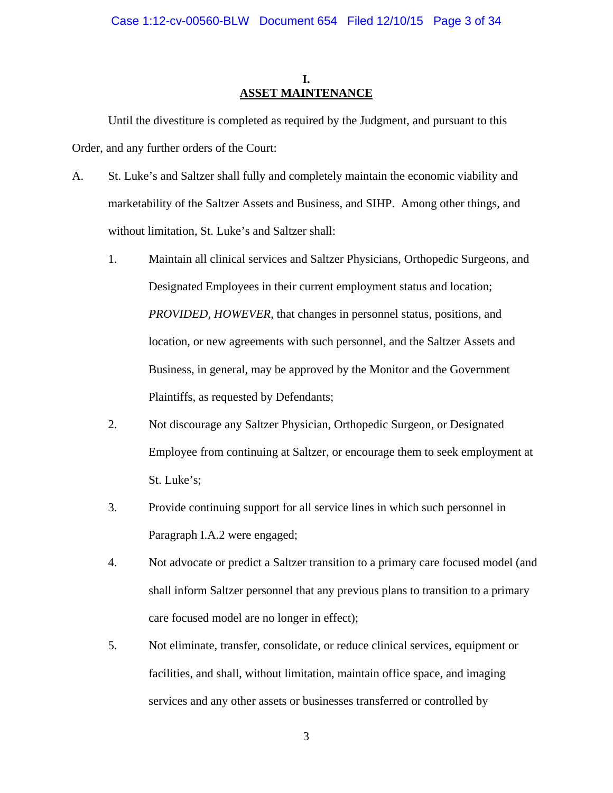### **I. ASSET MAINTENANCE**

Until the divestiture is completed as required by the Judgment, and pursuant to this Order, and any further orders of the Court:

- A. St. Luke's and Saltzer shall fully and completely maintain the economic viability and marketability of the Saltzer Assets and Business, and SIHP. Among other things, and without limitation, St. Luke's and Saltzer shall:
	- 1. Maintain all clinical services and Saltzer Physicians, Orthopedic Surgeons, and Designated Employees in their current employment status and location; *PROVIDED, HOWEVER,* that changes in personnel status, positions, and location, or new agreements with such personnel, and the Saltzer Assets and Business, in general, may be approved by the Monitor and the Government Plaintiffs, as requested by Defendants;
	- 2. Not discourage any Saltzer Physician, Orthopedic Surgeon, or Designated Employee from continuing at Saltzer, or encourage them to seek employment at St. Luke's;
	- 3. Provide continuing support for all service lines in which such personnel in Paragraph I.A.2 were engaged;
	- 4. Not advocate or predict a Saltzer transition to a primary care focused model (and shall inform Saltzer personnel that any previous plans to transition to a primary care focused model are no longer in effect);
	- 5. Not eliminate, transfer, consolidate, or reduce clinical services, equipment or facilities, and shall, without limitation, maintain office space, and imaging services and any other assets or businesses transferred or controlled by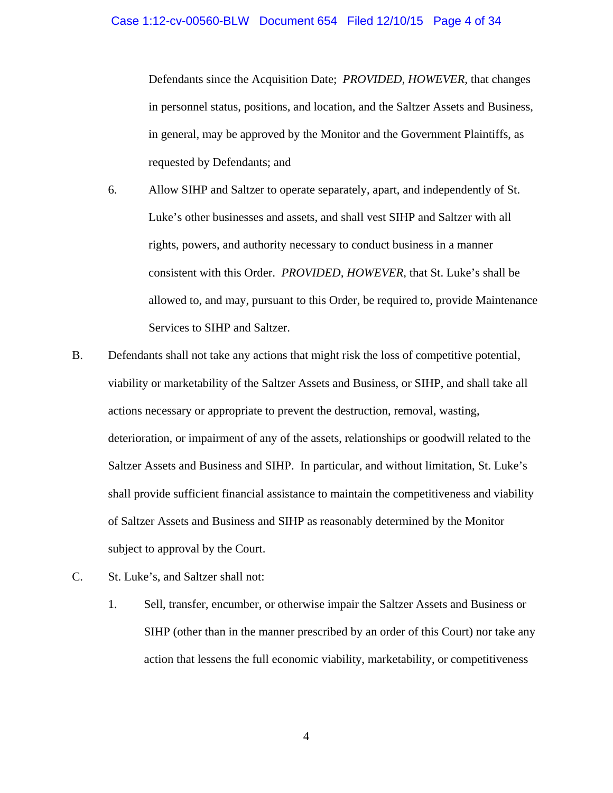Defendants since the Acquisition Date; *PROVIDED, HOWEVER,* that changes in personnel status, positions, and location, and the Saltzer Assets and Business, in general, may be approved by the Monitor and the Government Plaintiffs, as requested by Defendants; and

- 6. Allow SIHP and Saltzer to operate separately, apart, and independently of St. Luke's other businesses and assets, and shall vest SIHP and Saltzer with all rights, powers, and authority necessary to conduct business in a manner consistent with this Order. *PROVIDED, HOWEVER,* that St. Luke's shall be allowed to, and may, pursuant to this Order, be required to, provide Maintenance Services to SIHP and Saltzer.
- B. Defendants shall not take any actions that might risk the loss of competitive potential, viability or marketability of the Saltzer Assets and Business, or SIHP, and shall take all actions necessary or appropriate to prevent the destruction, removal, wasting, deterioration, or impairment of any of the assets, relationships or goodwill related to the Saltzer Assets and Business and SIHP. In particular, and without limitation, St. Luke's shall provide sufficient financial assistance to maintain the competitiveness and viability of Saltzer Assets and Business and SIHP as reasonably determined by the Monitor subject to approval by the Court.
- C. St. Luke's, and Saltzer shall not:
	- 1. Sell, transfer, encumber, or otherwise impair the Saltzer Assets and Business or SIHP (other than in the manner prescribed by an order of this Court) nor take any action that lessens the full economic viability, marketability, or competitiveness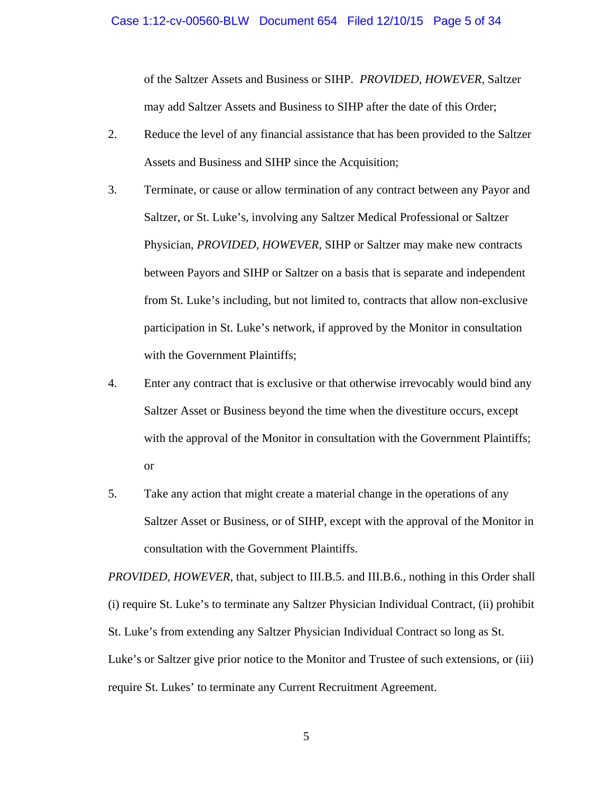of the Saltzer Assets and Business or SIHP. *PROVIDED, HOWEVER,* Saltzer may add Saltzer Assets and Business to SIHP after the date of this Order;

- 2. Reduce the level of any financial assistance that has been provided to the Saltzer Assets and Business and SIHP since the Acquisition;
- 3. Terminate, or cause or allow termination of any contract between any Payor and Saltzer, or St. Luke's, involving any Saltzer Medical Professional or Saltzer Physician, *PROVIDED, HOWEVER,* SIHP or Saltzer may make new contracts between Payors and SIHP or Saltzer on a basis that is separate and independent from St. Luke's including, but not limited to, contracts that allow non-exclusive participation in St. Luke's network, if approved by the Monitor in consultation with the Government Plaintiffs;
- 4. Enter any contract that is exclusive or that otherwise irrevocably would bind any Saltzer Asset or Business beyond the time when the divestiture occurs, except with the approval of the Monitor in consultation with the Government Plaintiffs; or
- 5. Take any action that might create a material change in the operations of any Saltzer Asset or Business, or of SIHP, except with the approval of the Monitor in consultation with the Government Plaintiffs.

*PROVIDED, HOWEVER*, that, subject to III.B.5. and III.B.6., nothing in this Order shall (i) require St. Luke's to terminate any Saltzer Physician Individual Contract, (ii) prohibit St. Luke's from extending any Saltzer Physician Individual Contract so long as St. Luke's or Saltzer give prior notice to the Monitor and Trustee of such extensions, or (iii) require St. Lukes' to terminate any Current Recruitment Agreement.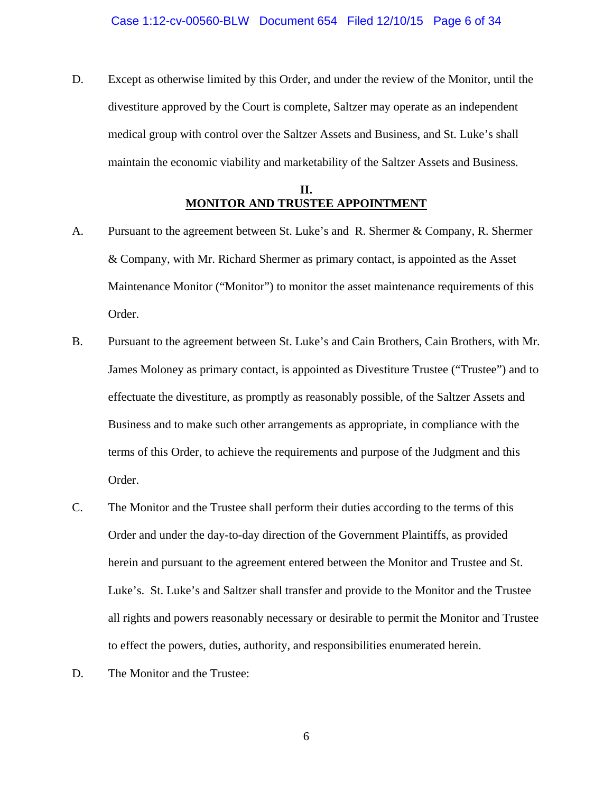D. Except as otherwise limited by this Order, and under the review of the Monitor, until the divestiture approved by the Court is complete, Saltzer may operate as an independent medical group with control over the Saltzer Assets and Business, and St. Luke's shall maintain the economic viability and marketability of the Saltzer Assets and Business.

### **II. MONITOR AND TRUSTEE APPOINTMENT**

- A. Pursuant to the agreement between St. Luke's and R. Shermer & Company, R. Shermer & Company, with Mr. Richard Shermer as primary contact, is appointed as the Asset Maintenance Monitor ("Monitor") to monitor the asset maintenance requirements of this Order.
- B. Pursuant to the agreement between St. Luke's and Cain Brothers, Cain Brothers, with Mr. James Moloney as primary contact, is appointed as Divestiture Trustee ("Trustee") and to effectuate the divestiture, as promptly as reasonably possible, of the Saltzer Assets and Business and to make such other arrangements as appropriate, in compliance with the terms of this Order, to achieve the requirements and purpose of the Judgment and this Order.
- C. The Monitor and the Trustee shall perform their duties according to the terms of this Order and under the day-to-day direction of the Government Plaintiffs, as provided herein and pursuant to the agreement entered between the Monitor and Trustee and St. Luke's. St. Luke's and Saltzer shall transfer and provide to the Monitor and the Trustee all rights and powers reasonably necessary or desirable to permit the Monitor and Trustee to effect the powers, duties, authority, and responsibilities enumerated herein.
- D. The Monitor and the Trustee: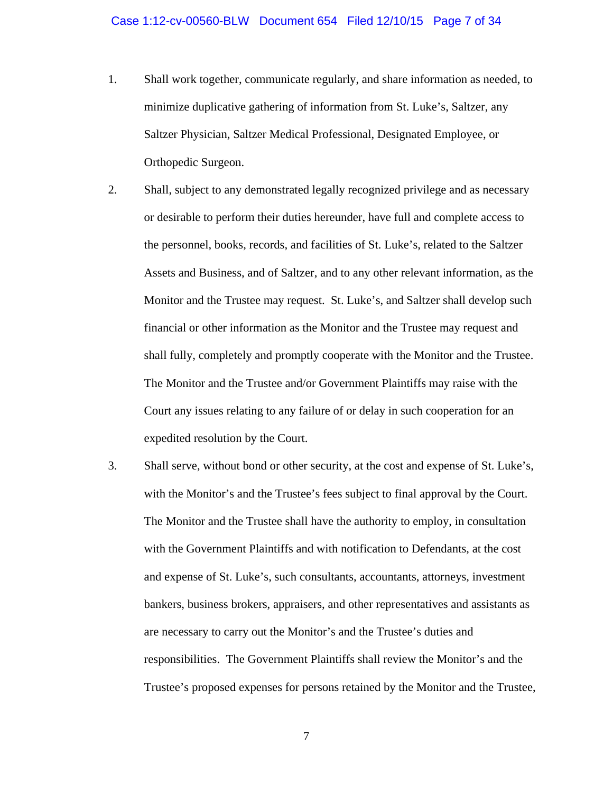1. Shall work together, communicate regularly, and share information as needed, to minimize duplicative gathering of information from St. Luke's, Saltzer, any Saltzer Physician, Saltzer Medical Professional, Designated Employee, or Orthopedic Surgeon.

2. Shall, subject to any demonstrated legally recognized privilege and as necessary or desirable to perform their duties hereunder, have full and complete access to the personnel, books, records, and facilities of St. Luke's, related to the Saltzer Assets and Business, and of Saltzer, and to any other relevant information, as the Monitor and the Trustee may request. St. Luke's, and Saltzer shall develop such financial or other information as the Monitor and the Trustee may request and shall fully, completely and promptly cooperate with the Monitor and the Trustee. The Monitor and the Trustee and/or Government Plaintiffs may raise with the Court any issues relating to any failure of or delay in such cooperation for an expedited resolution by the Court.

3. Shall serve, without bond or other security, at the cost and expense of St. Luke's, with the Monitor's and the Trustee's fees subject to final approval by the Court. The Monitor and the Trustee shall have the authority to employ, in consultation with the Government Plaintiffs and with notification to Defendants, at the cost and expense of St. Luke's, such consultants, accountants, attorneys, investment bankers, business brokers, appraisers, and other representatives and assistants as are necessary to carry out the Monitor's and the Trustee's duties and responsibilities. The Government Plaintiffs shall review the Monitor's and the Trustee's proposed expenses for persons retained by the Monitor and the Trustee,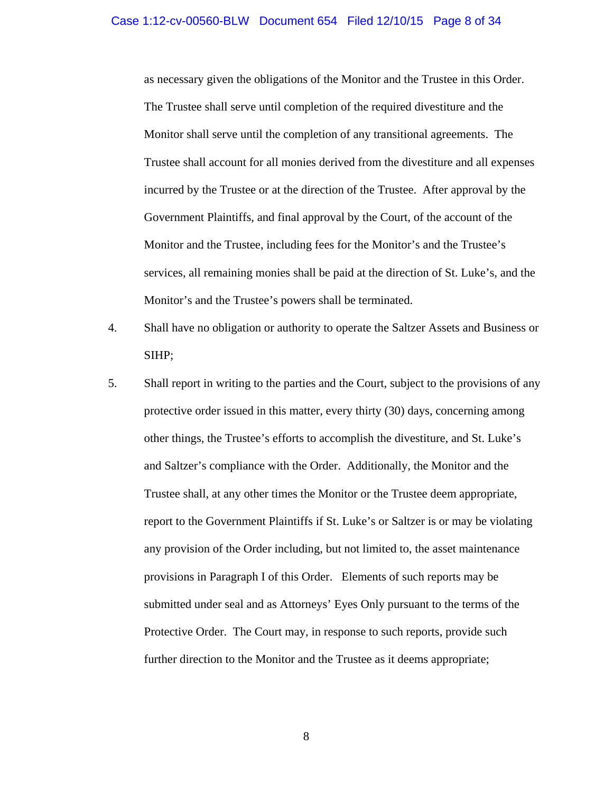#### Case 1:12-cv-00560-BLW Document 654 Filed 12/10/15 Page 8 of 34

as necessary given the obligations of the Monitor and the Trustee in this Order. The Trustee shall serve until completion of the required divestiture and the Monitor shall serve until the completion of any transitional agreements. The Trustee shall account for all monies derived from the divestiture and all expenses incurred by the Trustee or at the direction of the Trustee. After approval by the Government Plaintiffs, and final approval by the Court, of the account of the Monitor and the Trustee, including fees for the Monitor's and the Trustee's services, all remaining monies shall be paid at the direction of St. Luke's, and the Monitor's and the Trustee's powers shall be terminated.

- 4. Shall have no obligation or authority to operate the Saltzer Assets and Business or SIHP;
- 5. Shall report in writing to the parties and the Court, subject to the provisions of any protective order issued in this matter, every thirty (30) days, concerning among other things, the Trustee's efforts to accomplish the divestiture, and St. Luke's and Saltzer's compliance with the Order. Additionally, the Monitor and the Trustee shall, at any other times the Monitor or the Trustee deem appropriate, report to the Government Plaintiffs if St. Luke's or Saltzer is or may be violating any provision of the Order including, but not limited to, the asset maintenance provisions in Paragraph I of this Order. Elements of such reports may be submitted under seal and as Attorneys' Eyes Only pursuant to the terms of the Protective Order. The Court may, in response to such reports, provide such further direction to the Monitor and the Trustee as it deems appropriate;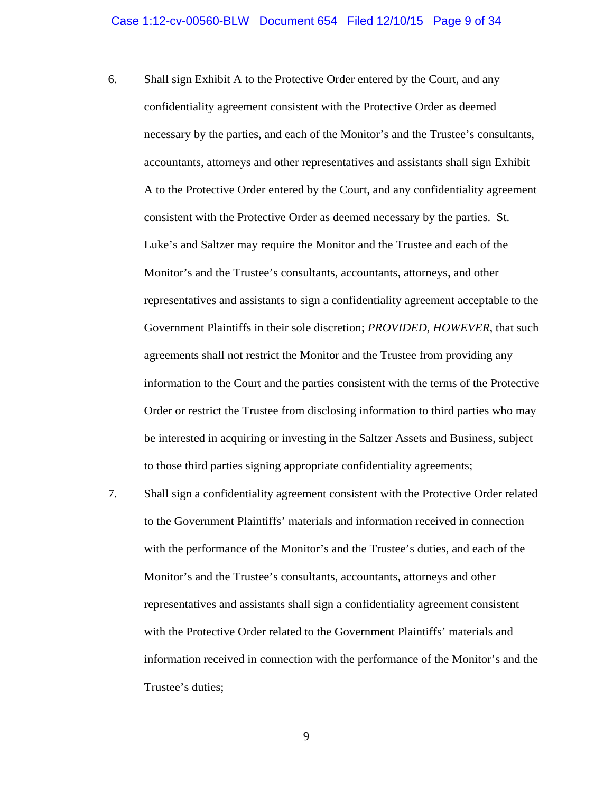- 6. Shall sign Exhibit A to the Protective Order entered by the Court, and any confidentiality agreement consistent with the Protective Order as deemed necessary by the parties, and each of the Monitor's and the Trustee's consultants, accountants, attorneys and other representatives and assistants shall sign Exhibit A to the Protective Order entered by the Court, and any confidentiality agreement consistent with the Protective Order as deemed necessary by the parties. St. Luke's and Saltzer may require the Monitor and the Trustee and each of the Monitor's and the Trustee's consultants, accountants, attorneys, and other representatives and assistants to sign a confidentiality agreement acceptable to the Government Plaintiffs in their sole discretion; *PROVIDED, HOWEVER*, that such agreements shall not restrict the Monitor and the Trustee from providing any information to the Court and the parties consistent with the terms of the Protective Order or restrict the Trustee from disclosing information to third parties who may be interested in acquiring or investing in the Saltzer Assets and Business, subject to those third parties signing appropriate confidentiality agreements;
- 7. Shall sign a confidentiality agreement consistent with the Protective Order related to the Government Plaintiffs' materials and information received in connection with the performance of the Monitor's and the Trustee's duties, and each of the Monitor's and the Trustee's consultants, accountants, attorneys and other representatives and assistants shall sign a confidentiality agreement consistent with the Protective Order related to the Government Plaintiffs' materials and information received in connection with the performance of the Monitor's and the Trustee's duties;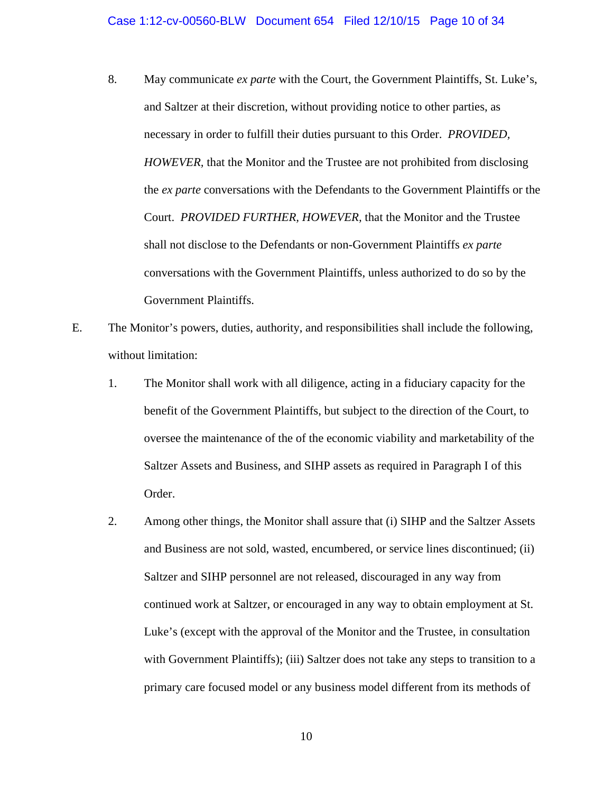- 8. May communicate *ex parte* with the Court, the Government Plaintiffs, St. Luke's, and Saltzer at their discretion, without providing notice to other parties, as necessary in order to fulfill their duties pursuant to this Order. *PROVIDED, HOWEVER,* that the Monitor and the Trustee are not prohibited from disclosing the *ex parte* conversations with the Defendants to the Government Plaintiffs or the Court. *PROVIDED FURTHER, HOWEVER,* that the Monitor and the Trustee shall not disclose to the Defendants or non-Government Plaintiffs *ex parte* conversations with the Government Plaintiffs, unless authorized to do so by the Government Plaintiffs.
- E. The Monitor's powers, duties, authority, and responsibilities shall include the following, without limitation:
	- 1. The Monitor shall work with all diligence, acting in a fiduciary capacity for the benefit of the Government Plaintiffs, but subject to the direction of the Court, to oversee the maintenance of the of the economic viability and marketability of the Saltzer Assets and Business, and SIHP assets as required in Paragraph I of this Order.
	- 2. Among other things, the Monitor shall assure that (i) SIHP and the Saltzer Assets and Business are not sold, wasted, encumbered, or service lines discontinued; (ii) Saltzer and SIHP personnel are not released, discouraged in any way from continued work at Saltzer, or encouraged in any way to obtain employment at St. Luke's (except with the approval of the Monitor and the Trustee, in consultation with Government Plaintiffs); (iii) Saltzer does not take any steps to transition to a primary care focused model or any business model different from its methods of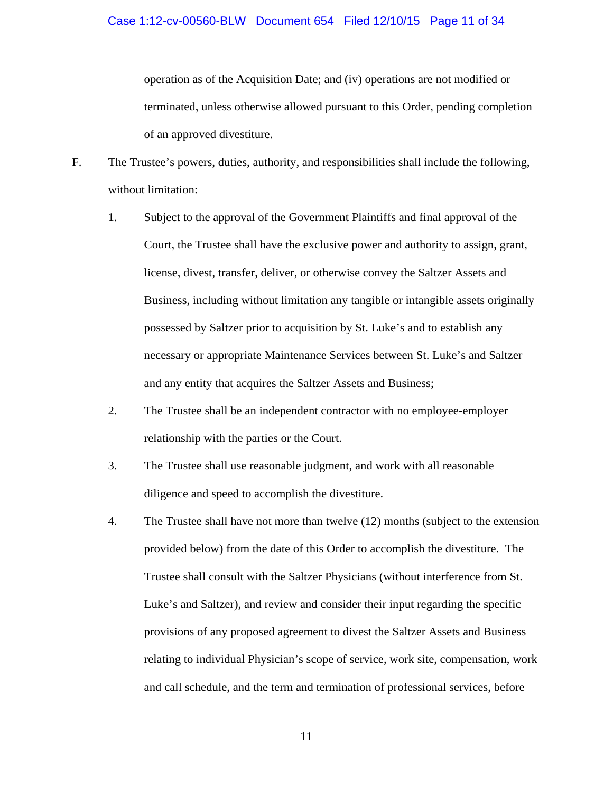operation as of the Acquisition Date; and (iv) operations are not modified or terminated, unless otherwise allowed pursuant to this Order, pending completion of an approved divestiture.

- F. The Trustee's powers, duties, authority, and responsibilities shall include the following, without limitation:
	- 1. Subject to the approval of the Government Plaintiffs and final approval of the Court, the Trustee shall have the exclusive power and authority to assign, grant, license, divest, transfer, deliver, or otherwise convey the Saltzer Assets and Business, including without limitation any tangible or intangible assets originally possessed by Saltzer prior to acquisition by St. Luke's and to establish any necessary or appropriate Maintenance Services between St. Luke's and Saltzer and any entity that acquires the Saltzer Assets and Business;
	- 2. The Trustee shall be an independent contractor with no employee-employer relationship with the parties or the Court.
	- 3. The Trustee shall use reasonable judgment, and work with all reasonable diligence and speed to accomplish the divestiture.
	- 4. The Trustee shall have not more than twelve (12) months (subject to the extension provided below) from the date of this Order to accomplish the divestiture. The Trustee shall consult with the Saltzer Physicians (without interference from St. Luke's and Saltzer), and review and consider their input regarding the specific provisions of any proposed agreement to divest the Saltzer Assets and Business relating to individual Physician's scope of service, work site, compensation, work and call schedule, and the term and termination of professional services, before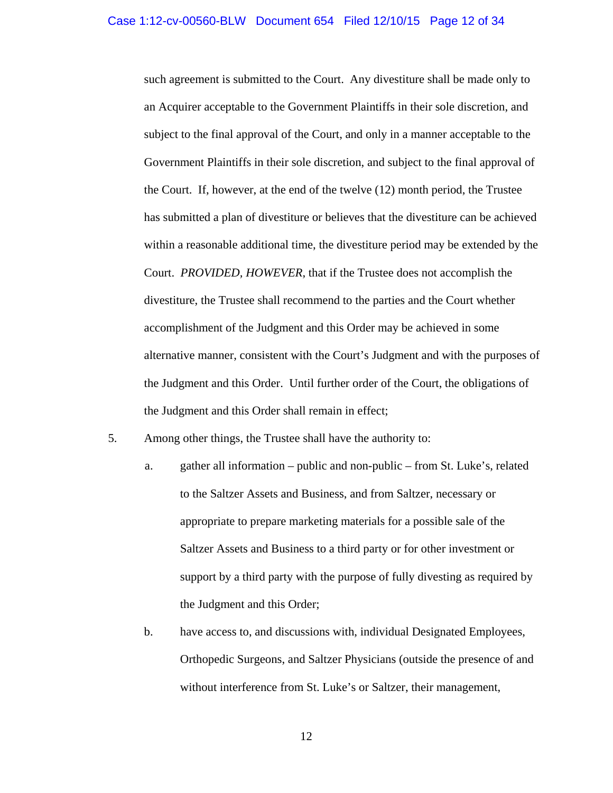such agreement is submitted to the Court. Any divestiture shall be made only to an Acquirer acceptable to the Government Plaintiffs in their sole discretion, and subject to the final approval of the Court, and only in a manner acceptable to the Government Plaintiffs in their sole discretion, and subject to the final approval of the Court. If, however, at the end of the twelve (12) month period, the Trustee has submitted a plan of divestiture or believes that the divestiture can be achieved within a reasonable additional time, the divestiture period may be extended by the Court. *PROVIDED, HOWEVER*, that if the Trustee does not accomplish the divestiture, the Trustee shall recommend to the parties and the Court whether accomplishment of the Judgment and this Order may be achieved in some alternative manner, consistent with the Court's Judgment and with the purposes of the Judgment and this Order. Until further order of the Court, the obligations of the Judgment and this Order shall remain in effect;

- 5. Among other things, the Trustee shall have the authority to:
	- a. gather all information public and non-public from St. Luke's, related to the Saltzer Assets and Business, and from Saltzer, necessary or appropriate to prepare marketing materials for a possible sale of the Saltzer Assets and Business to a third party or for other investment or support by a third party with the purpose of fully divesting as required by the Judgment and this Order;
	- b. have access to, and discussions with, individual Designated Employees, Orthopedic Surgeons, and Saltzer Physicians (outside the presence of and without interference from St. Luke's or Saltzer, their management,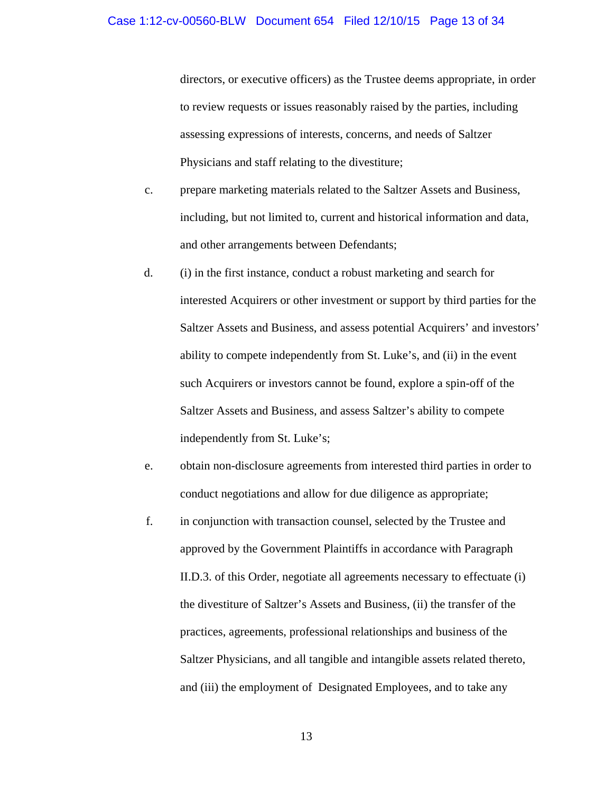directors, or executive officers) as the Trustee deems appropriate, in order to review requests or issues reasonably raised by the parties, including assessing expressions of interests, concerns, and needs of Saltzer Physicians and staff relating to the divestiture;

- c. prepare marketing materials related to the Saltzer Assets and Business, including, but not limited to, current and historical information and data, and other arrangements between Defendants;
- d. (i) in the first instance, conduct a robust marketing and search for interested Acquirers or other investment or support by third parties for the Saltzer Assets and Business, and assess potential Acquirers' and investors' ability to compete independently from St. Luke's, and (ii) in the event such Acquirers or investors cannot be found, explore a spin-off of the Saltzer Assets and Business, and assess Saltzer's ability to compete independently from St. Luke's;
- e. obtain non-disclosure agreements from interested third parties in order to conduct negotiations and allow for due diligence as appropriate;
- f. in conjunction with transaction counsel, selected by the Trustee and approved by the Government Plaintiffs in accordance with Paragraph II.D.3. of this Order, negotiate all agreements necessary to effectuate (i) the divestiture of Saltzer's Assets and Business, (ii) the transfer of the practices, agreements, professional relationships and business of the Saltzer Physicians, and all tangible and intangible assets related thereto, and (iii) the employment of Designated Employees, and to take any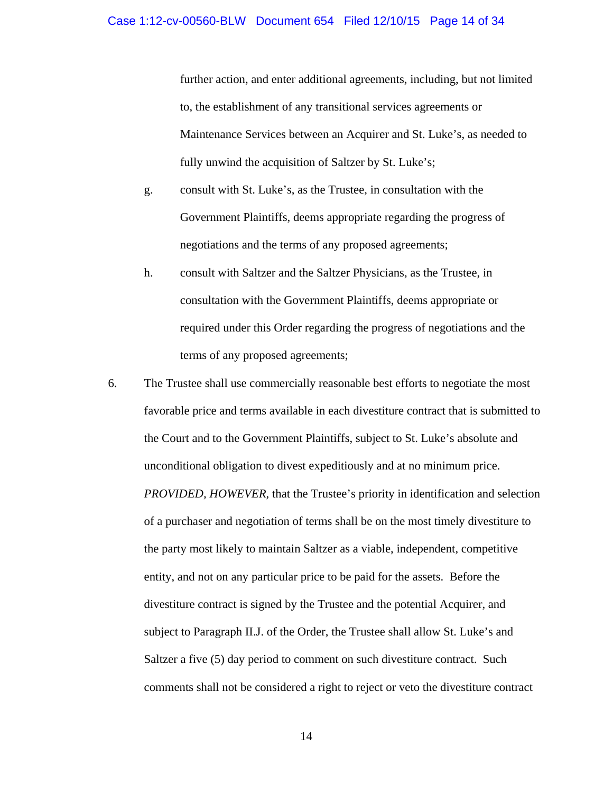further action, and enter additional agreements, including, but not limited to, the establishment of any transitional services agreements or Maintenance Services between an Acquirer and St. Luke's, as needed to fully unwind the acquisition of Saltzer by St. Luke's;

- g. consult with St. Luke's, as the Trustee, in consultation with the Government Plaintiffs, deems appropriate regarding the progress of negotiations and the terms of any proposed agreements;
- h. consult with Saltzer and the Saltzer Physicians, as the Trustee, in consultation with the Government Plaintiffs, deems appropriate or required under this Order regarding the progress of negotiations and the terms of any proposed agreements;
- 6. The Trustee shall use commercially reasonable best efforts to negotiate the most favorable price and terms available in each divestiture contract that is submitted to the Court and to the Government Plaintiffs, subject to St. Luke's absolute and unconditional obligation to divest expeditiously and at no minimum price. *PROVIDED, HOWEVER,* that the Trustee's priority in identification and selection of a purchaser and negotiation of terms shall be on the most timely divestiture to the party most likely to maintain Saltzer as a viable, independent, competitive entity, and not on any particular price to be paid for the assets. Before the divestiture contract is signed by the Trustee and the potential Acquirer, and subject to Paragraph II.J. of the Order, the Trustee shall allow St. Luke's and Saltzer a five (5) day period to comment on such divestiture contract. Such comments shall not be considered a right to reject or veto the divestiture contract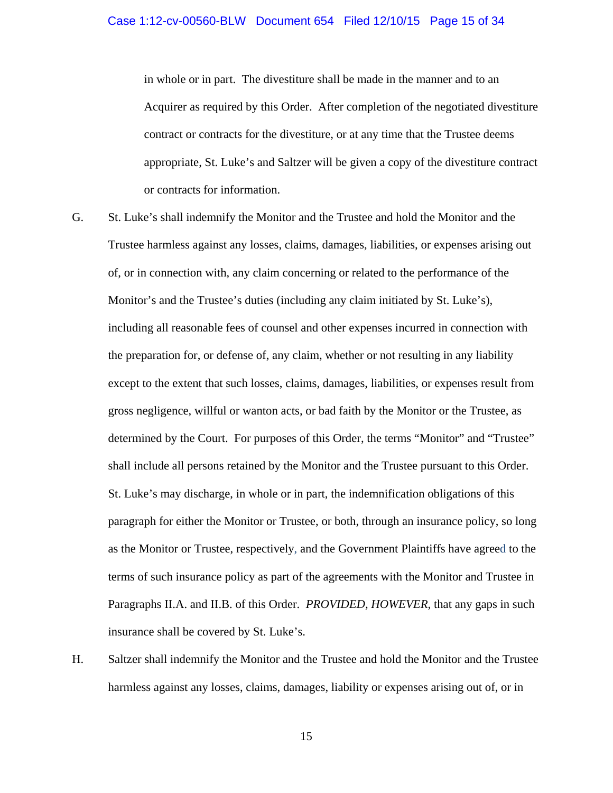in whole or in part. The divestiture shall be made in the manner and to an Acquirer as required by this Order. After completion of the negotiated divestiture contract or contracts for the divestiture, or at any time that the Trustee deems appropriate, St. Luke's and Saltzer will be given a copy of the divestiture contract or contracts for information.

- G. St. Luke's shall indemnify the Monitor and the Trustee and hold the Monitor and the Trustee harmless against any losses, claims, damages, liabilities, or expenses arising out of, or in connection with, any claim concerning or related to the performance of the Monitor's and the Trustee's duties (including any claim initiated by St. Luke's), including all reasonable fees of counsel and other expenses incurred in connection with the preparation for, or defense of, any claim, whether or not resulting in any liability except to the extent that such losses, claims, damages, liabilities, or expenses result from gross negligence, willful or wanton acts, or bad faith by the Monitor or the Trustee, as determined by the Court. For purposes of this Order, the terms "Monitor" and "Trustee" shall include all persons retained by the Monitor and the Trustee pursuant to this Order. St. Luke's may discharge, in whole or in part, the indemnification obligations of this paragraph for either the Monitor or Trustee, or both, through an insurance policy, so long as the Monitor or Trustee, respectively, and the Government Plaintiffs have agreed to the terms of such insurance policy as part of the agreements with the Monitor and Trustee in Paragraphs II.A. and II.B. of this Order. *PROVIDED, HOWEVER*, that any gaps in such insurance shall be covered by St. Luke's.
- H. Saltzer shall indemnify the Monitor and the Trustee and hold the Monitor and the Trustee harmless against any losses, claims, damages, liability or expenses arising out of, or in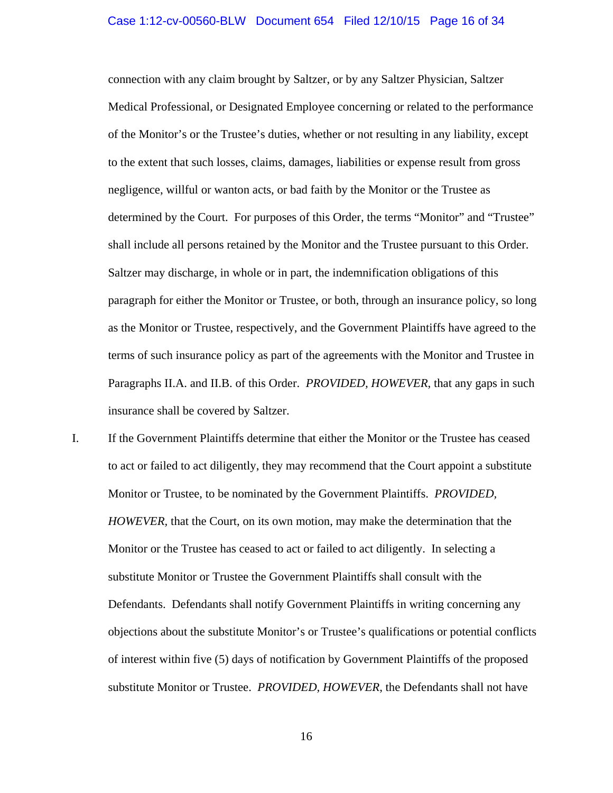## Case 1:12-cv-00560-BLW Document 654 Filed 12/10/15 Page 16 of 34

connection with any claim brought by Saltzer, or by any Saltzer Physician, Saltzer Medical Professional, or Designated Employee concerning or related to the performance of the Monitor's or the Trustee's duties, whether or not resulting in any liability, except to the extent that such losses, claims, damages, liabilities or expense result from gross negligence, willful or wanton acts, or bad faith by the Monitor or the Trustee as determined by the Court. For purposes of this Order, the terms "Monitor" and "Trustee" shall include all persons retained by the Monitor and the Trustee pursuant to this Order. Saltzer may discharge, in whole or in part, the indemnification obligations of this paragraph for either the Monitor or Trustee, or both, through an insurance policy, so long as the Monitor or Trustee, respectively, and the Government Plaintiffs have agreed to the terms of such insurance policy as part of the agreements with the Monitor and Trustee in Paragraphs II.A. and II.B. of this Order. *PROVIDED, HOWEVER*, that any gaps in such insurance shall be covered by Saltzer.

I. If the Government Plaintiffs determine that either the Monitor or the Trustee has ceased to act or failed to act diligently, they may recommend that the Court appoint a substitute Monitor or Trustee, to be nominated by the Government Plaintiffs. *PROVIDED, HOWEVER,* that the Court, on its own motion, may make the determination that the Monitor or the Trustee has ceased to act or failed to act diligently. In selecting a substitute Monitor or Trustee the Government Plaintiffs shall consult with the Defendants. Defendants shall notify Government Plaintiffs in writing concerning any objections about the substitute Monitor's or Trustee's qualifications or potential conflicts of interest within five (5) days of notification by Government Plaintiffs of the proposed substitute Monitor or Trustee. *PROVIDED, HOWEVER*, the Defendants shall not have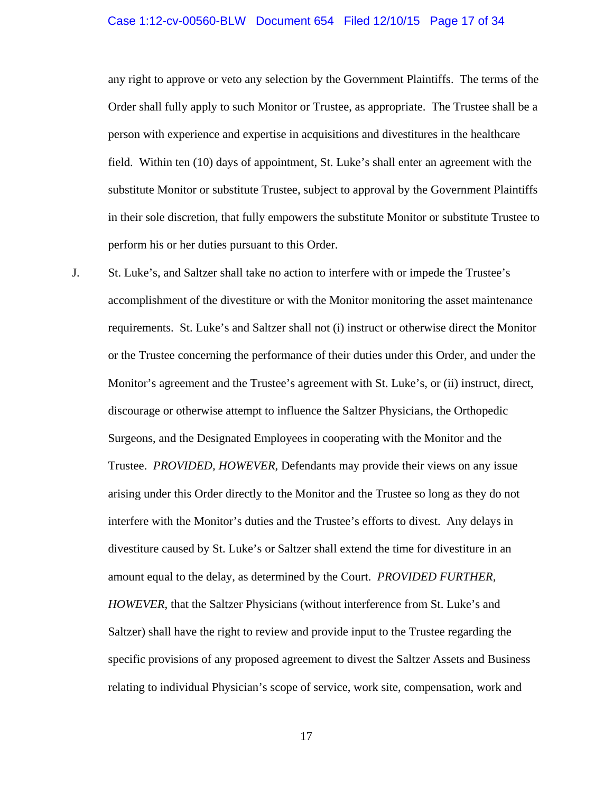#### Case 1:12-cv-00560-BLW Document 654 Filed 12/10/15 Page 17 of 34

any right to approve or veto any selection by the Government Plaintiffs. The terms of the Order shall fully apply to such Monitor or Trustee, as appropriate. The Trustee shall be a person with experience and expertise in acquisitions and divestitures in the healthcare field. Within ten (10) days of appointment, St. Luke's shall enter an agreement with the substitute Monitor or substitute Trustee, subject to approval by the Government Plaintiffs in their sole discretion, that fully empowers the substitute Monitor or substitute Trustee to perform his or her duties pursuant to this Order.

J. St. Luke's, and Saltzer shall take no action to interfere with or impede the Trustee's accomplishment of the divestiture or with the Monitor monitoring the asset maintenance requirements. St. Luke's and Saltzer shall not (i) instruct or otherwise direct the Monitor or the Trustee concerning the performance of their duties under this Order, and under the Monitor's agreement and the Trustee's agreement with St. Luke's, or (ii) instruct, direct, discourage or otherwise attempt to influence the Saltzer Physicians, the Orthopedic Surgeons, and the Designated Employees in cooperating with the Monitor and the Trustee. *PROVIDED, HOWEVER*, Defendants may provide their views on any issue arising under this Order directly to the Monitor and the Trustee so long as they do not interfere with the Monitor's duties and the Trustee's efforts to divest. Any delays in divestiture caused by St. Luke's or Saltzer shall extend the time for divestiture in an amount equal to the delay, as determined by the Court. *PROVIDED FURTHER, HOWEVER*, that the Saltzer Physicians (without interference from St. Luke's and Saltzer) shall have the right to review and provide input to the Trustee regarding the specific provisions of any proposed agreement to divest the Saltzer Assets and Business relating to individual Physician's scope of service, work site, compensation, work and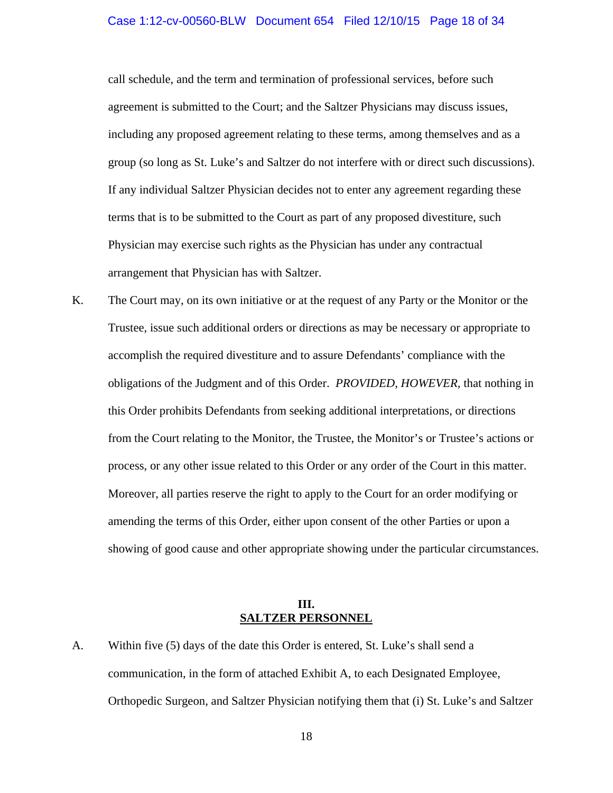#### Case 1:12-cv-00560-BLW Document 654 Filed 12/10/15 Page 18 of 34

call schedule, and the term and termination of professional services, before such agreement is submitted to the Court; and the Saltzer Physicians may discuss issues, including any proposed agreement relating to these terms, among themselves and as a group (so long as St. Luke's and Saltzer do not interfere with or direct such discussions). If any individual Saltzer Physician decides not to enter any agreement regarding these terms that is to be submitted to the Court as part of any proposed divestiture, such Physician may exercise such rights as the Physician has under any contractual arrangement that Physician has with Saltzer.

K. The Court may, on its own initiative or at the request of any Party or the Monitor or the Trustee, issue such additional orders or directions as may be necessary or appropriate to accomplish the required divestiture and to assure Defendants' compliance with the obligations of the Judgment and of this Order. *PROVIDED, HOWEVER,* that nothing in this Order prohibits Defendants from seeking additional interpretations, or directions from the Court relating to the Monitor, the Trustee, the Monitor's or Trustee's actions or process, or any other issue related to this Order or any order of the Court in this matter. Moreover, all parties reserve the right to apply to the Court for an order modifying or amending the terms of this Order, either upon consent of the other Parties or upon a showing of good cause and other appropriate showing under the particular circumstances.

#### **III. SALTZER PERSONNEL**

A. Within five (5) days of the date this Order is entered, St. Luke's shall send a communication, in the form of attached Exhibit A, to each Designated Employee, Orthopedic Surgeon, and Saltzer Physician notifying them that (i) St. Luke's and Saltzer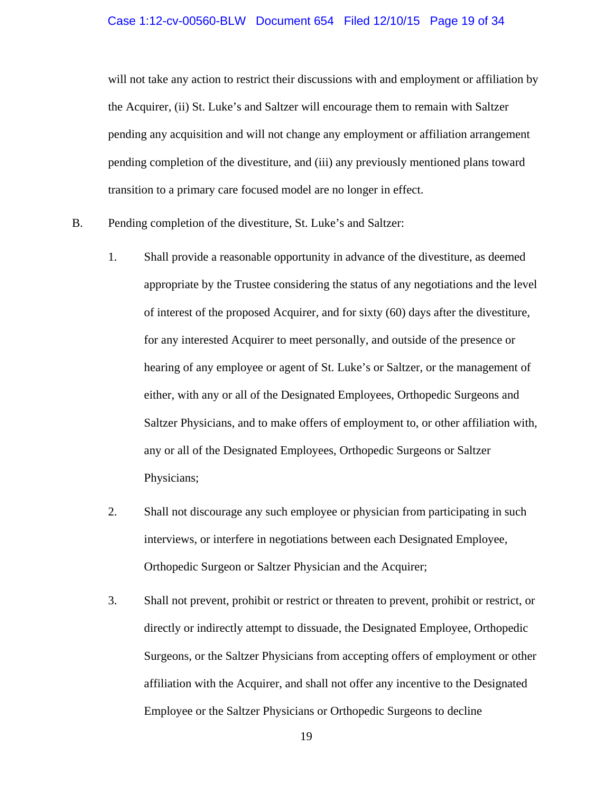#### Case 1:12-cv-00560-BLW Document 654 Filed 12/10/15 Page 19 of 34

will not take any action to restrict their discussions with and employment or affiliation by the Acquirer, (ii) St. Luke's and Saltzer will encourage them to remain with Saltzer pending any acquisition and will not change any employment or affiliation arrangement pending completion of the divestiture, and (iii) any previously mentioned plans toward transition to a primary care focused model are no longer in effect.

- B. Pending completion of the divestiture, St. Luke's and Saltzer:
	- 1. Shall provide a reasonable opportunity in advance of the divestiture, as deemed appropriate by the Trustee considering the status of any negotiations and the level of interest of the proposed Acquirer, and for sixty (60) days after the divestiture, for any interested Acquirer to meet personally, and outside of the presence or hearing of any employee or agent of St. Luke's or Saltzer, or the management of either, with any or all of the Designated Employees, Orthopedic Surgeons and Saltzer Physicians, and to make offers of employment to, or other affiliation with, any or all of the Designated Employees, Orthopedic Surgeons or Saltzer Physicians;
	- 2. Shall not discourage any such employee or physician from participating in such interviews, or interfere in negotiations between each Designated Employee, Orthopedic Surgeon or Saltzer Physician and the Acquirer;
	- 3. Shall not prevent, prohibit or restrict or threaten to prevent, prohibit or restrict, or directly or indirectly attempt to dissuade, the Designated Employee, Orthopedic Surgeons, or the Saltzer Physicians from accepting offers of employment or other affiliation with the Acquirer, and shall not offer any incentive to the Designated Employee or the Saltzer Physicians or Orthopedic Surgeons to decline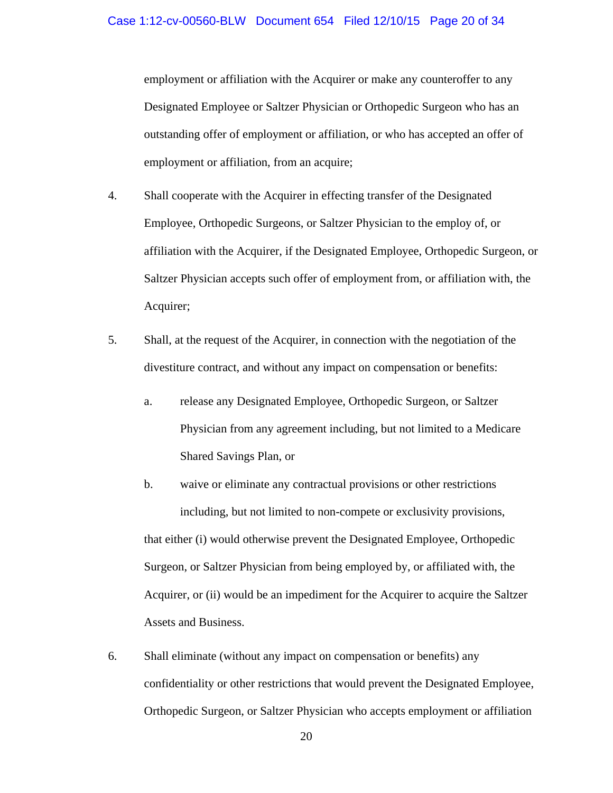employment or affiliation with the Acquirer or make any counteroffer to any Designated Employee or Saltzer Physician or Orthopedic Surgeon who has an outstanding offer of employment or affiliation, or who has accepted an offer of employment or affiliation, from an acquire;

- 4. Shall cooperate with the Acquirer in effecting transfer of the Designated Employee, Orthopedic Surgeons, or Saltzer Physician to the employ of, or affiliation with the Acquirer, if the Designated Employee, Orthopedic Surgeon, or Saltzer Physician accepts such offer of employment from, or affiliation with, the Acquirer;
- 5. Shall, at the request of the Acquirer, in connection with the negotiation of the divestiture contract, and without any impact on compensation or benefits:
	- a. release any Designated Employee, Orthopedic Surgeon, or Saltzer Physician from any agreement including, but not limited to a Medicare Shared Savings Plan, or
	- b. waive or eliminate any contractual provisions or other restrictions including, but not limited to non-compete or exclusivity provisions, that either (i) would otherwise prevent the Designated Employee, Orthopedic Surgeon, or Saltzer Physician from being employed by, or affiliated with, the Acquirer, or (ii) would be an impediment for the Acquirer to acquire the Saltzer Assets and Business.
- 6. Shall eliminate (without any impact on compensation or benefits) any confidentiality or other restrictions that would prevent the Designated Employee, Orthopedic Surgeon, or Saltzer Physician who accepts employment or affiliation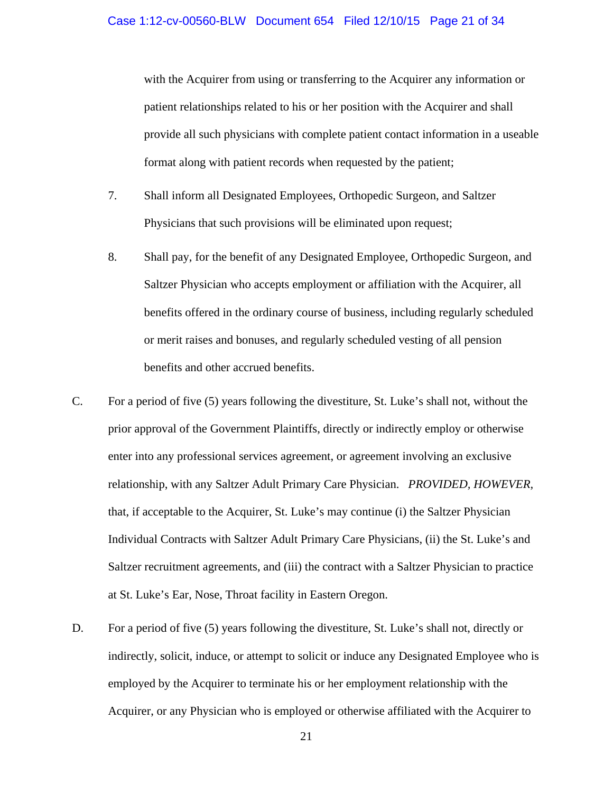with the Acquirer from using or transferring to the Acquirer any information or patient relationships related to his or her position with the Acquirer and shall provide all such physicians with complete patient contact information in a useable format along with patient records when requested by the patient;

- 7. Shall inform all Designated Employees, Orthopedic Surgeon, and Saltzer Physicians that such provisions will be eliminated upon request;
- 8. Shall pay, for the benefit of any Designated Employee, Orthopedic Surgeon, and Saltzer Physician who accepts employment or affiliation with the Acquirer, all benefits offered in the ordinary course of business, including regularly scheduled or merit raises and bonuses, and regularly scheduled vesting of all pension benefits and other accrued benefits.
- C. For a period of five (5) years following the divestiture, St. Luke's shall not, without the prior approval of the Government Plaintiffs, directly or indirectly employ or otherwise enter into any professional services agreement, or agreement involving an exclusive relationship, with any Saltzer Adult Primary Care Physician. *PROVIDED, HOWEVER,*  that, if acceptable to the Acquirer, St. Luke's may continue (i) the Saltzer Physician Individual Contracts with Saltzer Adult Primary Care Physicians, (ii) the St. Luke's and Saltzer recruitment agreements, and (iii) the contract with a Saltzer Physician to practice at St. Luke's Ear, Nose, Throat facility in Eastern Oregon.
- D. For a period of five (5) years following the divestiture, St. Luke's shall not, directly or indirectly, solicit, induce, or attempt to solicit or induce any Designated Employee who is employed by the Acquirer to terminate his or her employment relationship with the Acquirer, or any Physician who is employed or otherwise affiliated with the Acquirer to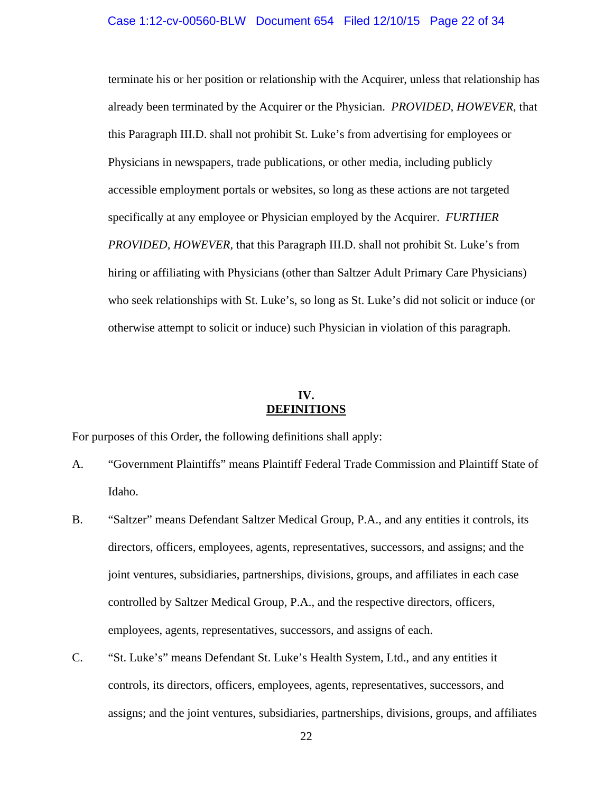terminate his or her position or relationship with the Acquirer, unless that relationship has already been terminated by the Acquirer or the Physician. *PROVIDED, HOWEVER*, that this Paragraph III.D. shall not prohibit St. Luke's from advertising for employees or Physicians in newspapers, trade publications, or other media, including publicly accessible employment portals or websites, so long as these actions are not targeted specifically at any employee or Physician employed by the Acquirer. *FURTHER PROVIDED, HOWEVER,* that this Paragraph III.D. shall not prohibit St. Luke's from hiring or affiliating with Physicians (other than Saltzer Adult Primary Care Physicians) who seek relationships with St. Luke's, so long as St. Luke's did not solicit or induce (or otherwise attempt to solicit or induce) such Physician in violation of this paragraph.

### **IV. DEFINITIONS**

For purposes of this Order, the following definitions shall apply:

- A. "Government Plaintiffs" means Plaintiff Federal Trade Commission and Plaintiff State of Idaho.
- B. "Saltzer" means Defendant Saltzer Medical Group, P.A., and any entities it controls, its directors, officers, employees, agents, representatives, successors, and assigns; and the joint ventures, subsidiaries, partnerships, divisions, groups, and affiliates in each case controlled by Saltzer Medical Group, P.A., and the respective directors, officers, employees, agents, representatives, successors, and assigns of each.
- C. "St. Luke's" means Defendant St. Luke's Health System, Ltd., and any entities it controls, its directors, officers, employees, agents, representatives, successors, and assigns; and the joint ventures, subsidiaries, partnerships, divisions, groups, and affiliates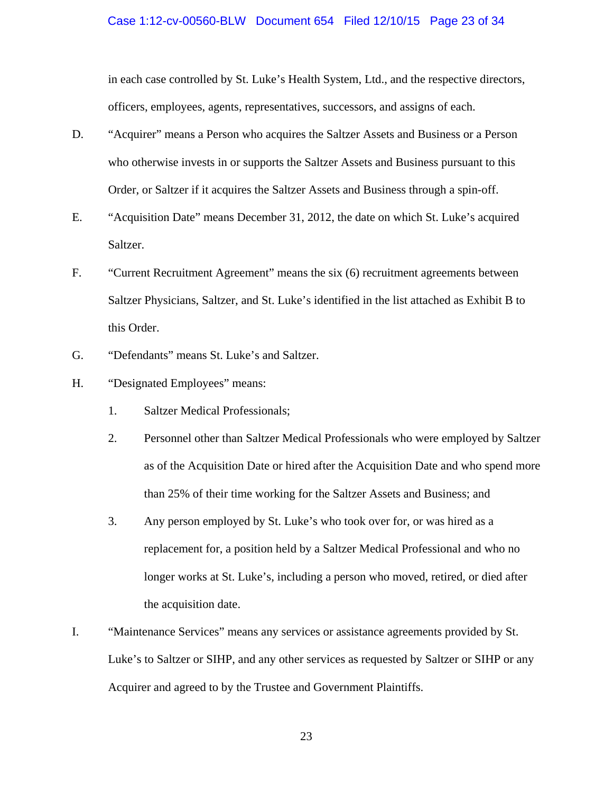#### Case 1:12-cv-00560-BLW Document 654 Filed 12/10/15 Page 23 of 34

in each case controlled by St. Luke's Health System, Ltd., and the respective directors, officers, employees, agents, representatives, successors, and assigns of each.

- D. "Acquirer" means a Person who acquires the Saltzer Assets and Business or a Person who otherwise invests in or supports the Saltzer Assets and Business pursuant to this Order, or Saltzer if it acquires the Saltzer Assets and Business through a spin-off.
- E. "Acquisition Date" means December 31, 2012, the date on which St. Luke's acquired Saltzer.
- F. "Current Recruitment Agreement" means the six (6) recruitment agreements between Saltzer Physicians, Saltzer, and St. Luke's identified in the list attached as Exhibit B to this Order.
- G. "Defendants" means St. Luke's and Saltzer.
- H. "Designated Employees" means:
	- 1. Saltzer Medical Professionals;
	- 2. Personnel other than Saltzer Medical Professionals who were employed by Saltzer as of the Acquisition Date or hired after the Acquisition Date and who spend more than 25% of their time working for the Saltzer Assets and Business; and
	- 3. Any person employed by St. Luke's who took over for, or was hired as a replacement for, a position held by a Saltzer Medical Professional and who no longer works at St. Luke's, including a person who moved, retired, or died after the acquisition date.
- I. "Maintenance Services" means any services or assistance agreements provided by St. Luke's to Saltzer or SIHP, and any other services as requested by Saltzer or SIHP or any Acquirer and agreed to by the Trustee and Government Plaintiffs.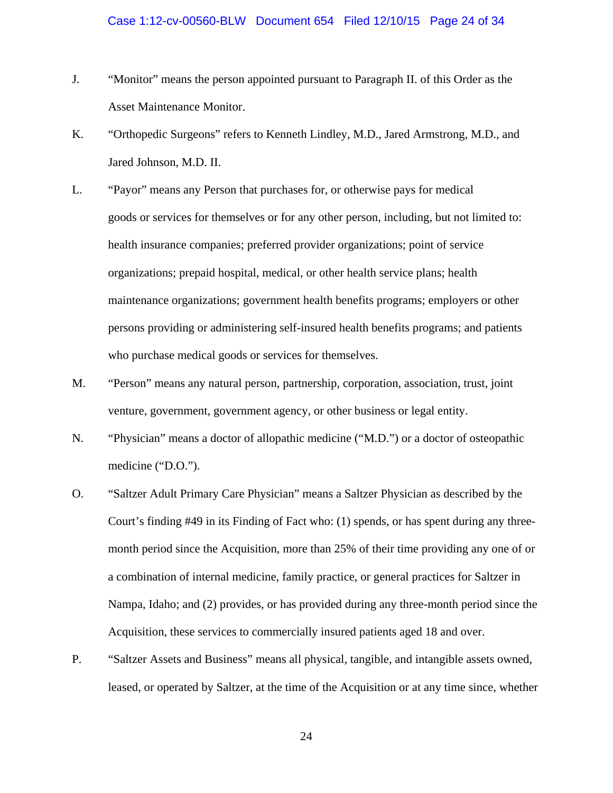- J. "Monitor" means the person appointed pursuant to Paragraph II. of this Order as the Asset Maintenance Monitor.
- K. "Orthopedic Surgeons" refers to Kenneth Lindley, M.D., Jared Armstrong, M.D., and Jared Johnson, M.D. II.
- L. "Payor" means any Person that purchases for, or otherwise pays for medical goods or services for themselves or for any other person, including, but not limited to: health insurance companies; preferred provider organizations; point of service organizations; prepaid hospital, medical, or other health service plans; health maintenance organizations; government health benefits programs; employers or other persons providing or administering self-insured health benefits programs; and patients who purchase medical goods or services for themselves.
- M. "Person" means any natural person, partnership, corporation, association, trust, joint venture, government, government agency, or other business or legal entity.
- N. "Physician" means a doctor of allopathic medicine ("M.D.") or a doctor of osteopathic medicine ("D.O.").
- O. "Saltzer Adult Primary Care Physician" means a Saltzer Physician as described by the Court's finding #49 in its Finding of Fact who: (1) spends, or has spent during any threemonth period since the Acquisition, more than 25% of their time providing any one of or a combination of internal medicine, family practice, or general practices for Saltzer in Nampa, Idaho; and (2) provides, or has provided during any three-month period since the Acquisition, these services to commercially insured patients aged 18 and over.
- P. "Saltzer Assets and Business" means all physical, tangible, and intangible assets owned, leased, or operated by Saltzer, at the time of the Acquisition or at any time since, whether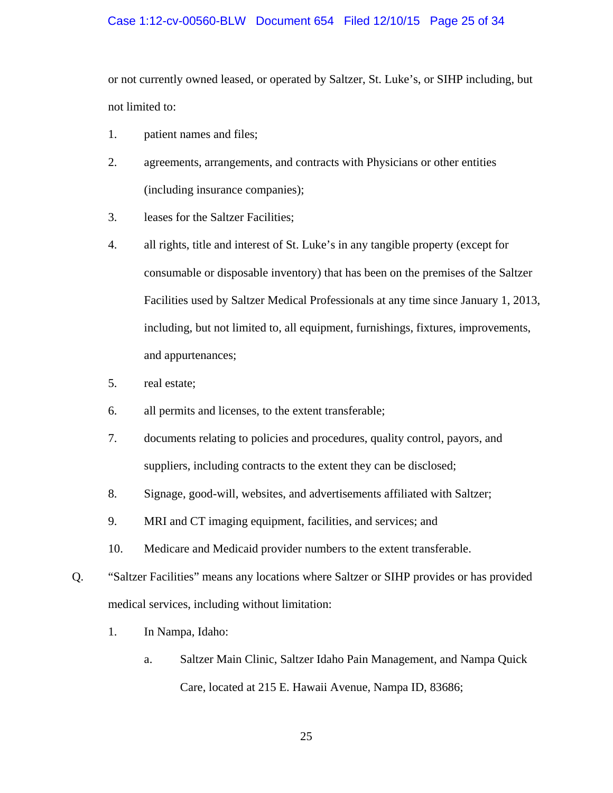### Case 1:12-cv-00560-BLW Document 654 Filed 12/10/15 Page 25 of 34

or not currently owned leased, or operated by Saltzer, St. Luke's, or SIHP including, but not limited to:

- 1. patient names and files;
- 2. agreements, arrangements, and contracts with Physicians or other entities (including insurance companies);
- 3. leases for the Saltzer Facilities;
- 4. all rights, title and interest of St. Luke's in any tangible property (except for consumable or disposable inventory) that has been on the premises of the Saltzer Facilities used by Saltzer Medical Professionals at any time since January 1, 2013, including, but not limited to, all equipment, furnishings, fixtures, improvements, and appurtenances;
- 5. real estate;
- 6. all permits and licenses, to the extent transferable;
- 7. documents relating to policies and procedures, quality control, payors, and suppliers, including contracts to the extent they can be disclosed;
- 8. Signage, good-will, websites, and advertisements affiliated with Saltzer;
- 9. MRI and CT imaging equipment, facilities, and services; and
- 10. Medicare and Medicaid provider numbers to the extent transferable.
- Q. "Saltzer Facilities" means any locations where Saltzer or SIHP provides or has provided medical services, including without limitation:
	- 1. In Nampa, Idaho:
		- a. Saltzer Main Clinic, Saltzer Idaho Pain Management, and Nampa Quick Care, located at 215 E. Hawaii Avenue, Nampa ID, 83686;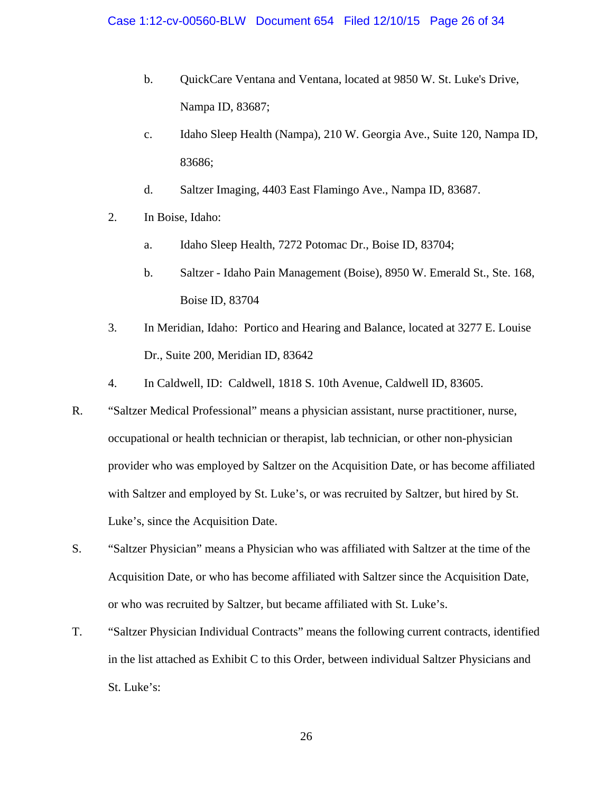- b. QuickCare Ventana and Ventana, located at 9850 W. St. Luke's Drive, Nampa ID, 83687;
- c. Idaho Sleep Health (Nampa), 210 W. Georgia Ave., Suite 120, Nampa ID, 83686;
- d. Saltzer Imaging, 4403 East Flamingo Ave., Nampa ID, 83687.
- 2. In Boise, Idaho:
	- a. Idaho Sleep Health, 7272 Potomac Dr., Boise ID, 83704;
	- b. Saltzer Idaho Pain Management (Boise), 8950 W. Emerald St., Ste. 168, Boise ID, 83704
- 3. In Meridian, Idaho: Portico and Hearing and Balance, located at 3277 E. Louise Dr., Suite 200, Meridian ID, 83642
- 4. In Caldwell, ID: Caldwell, 1818 S. 10th Avenue, Caldwell ID, 83605.
- R. "Saltzer Medical Professional" means a physician assistant, nurse practitioner, nurse, occupational or health technician or therapist, lab technician, or other non-physician provider who was employed by Saltzer on the Acquisition Date, or has become affiliated with Saltzer and employed by St. Luke's, or was recruited by Saltzer, but hired by St. Luke's, since the Acquisition Date.
- S. "Saltzer Physician" means a Physician who was affiliated with Saltzer at the time of the Acquisition Date, or who has become affiliated with Saltzer since the Acquisition Date, or who was recruited by Saltzer, but became affiliated with St. Luke's.
- T. "Saltzer Physician Individual Contracts" means the following current contracts, identified in the list attached as Exhibit C to this Order, between individual Saltzer Physicians and St. Luke's: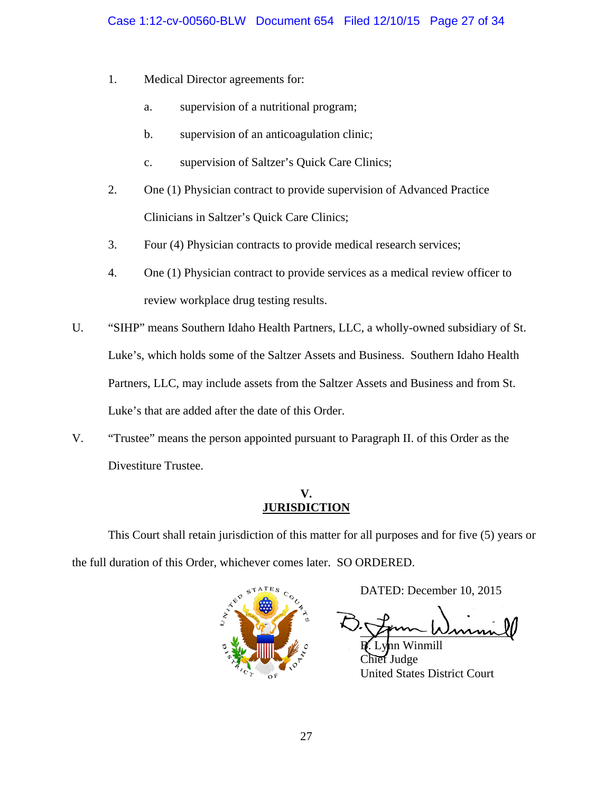- 1. Medical Director agreements for:
	- a. supervision of a nutritional program;
	- b. supervision of an anticoagulation clinic;
	- c. supervision of Saltzer's Quick Care Clinics;
- 2. One (1) Physician contract to provide supervision of Advanced Practice Clinicians in Saltzer's Quick Care Clinics;
- 3. Four (4) Physician contracts to provide medical research services;
- 4. One (1) Physician contract to provide services as a medical review officer to review workplace drug testing results.
- U. "SIHP" means Southern Idaho Health Partners, LLC, a wholly-owned subsidiary of St. Luke's, which holds some of the Saltzer Assets and Business. Southern Idaho Health Partners, LLC, may include assets from the Saltzer Assets and Business and from St. Luke's that are added after the date of this Order.
- V. "Trustee" means the person appointed pursuant to Paragraph II. of this Order as the Divestiture Trustee.

## **V. JURISDICTION**

This Court shall retain jurisdiction of this matter for all purposes and for five (5) years or the full duration of this Order, whichever comes later. SO ORDERED.



DATED: December 10, 2015

\_\_\_\_\_\_\_\_\_\_\_\_\_\_\_\_\_\_\_\_\_\_\_\_\_

inmill **f** Judge United States District Court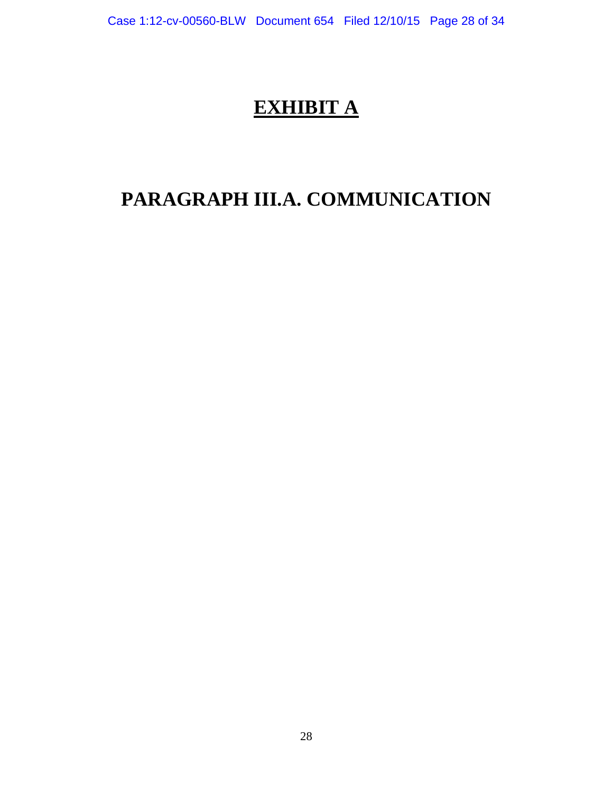# **EXHIBIT A**

# **PARAGRAPH III.A. COMMUNICATION**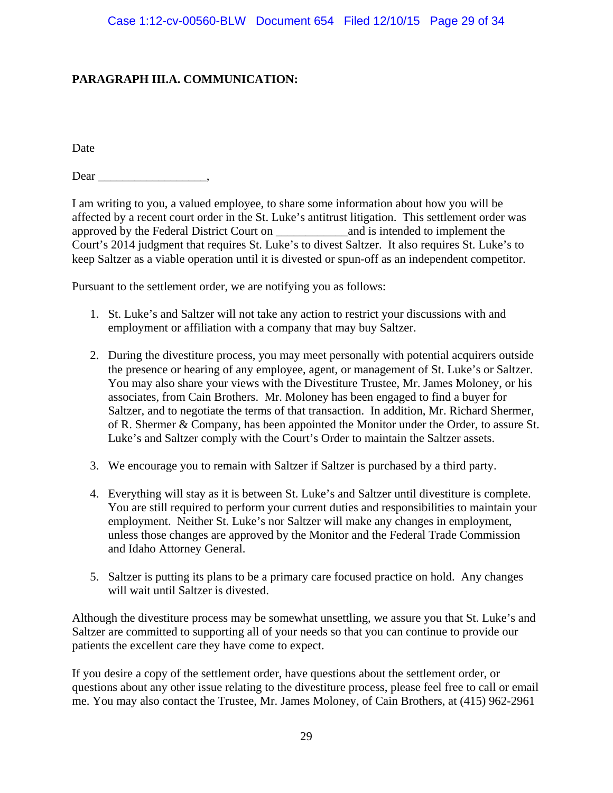## **PARAGRAPH III.A. COMMUNICATION:**

Date

Dear \_\_\_\_\_\_\_\_\_\_\_\_\_\_\_\_\_\_,

I am writing to you, a valued employee, to share some information about how you will be affected by a recent court order in the St. Luke's antitrust litigation. This settlement order was approved by the Federal District Court on \_\_\_\_\_\_\_\_\_\_\_\_and is intended to implement the Court's 2014 judgment that requires St. Luke's to divest Saltzer. It also requires St. Luke's to keep Saltzer as a viable operation until it is divested or spun-off as an independent competitor.

Pursuant to the settlement order, we are notifying you as follows:

- 1. St. Luke's and Saltzer will not take any action to restrict your discussions with and employment or affiliation with a company that may buy Saltzer.
- 2. During the divestiture process, you may meet personally with potential acquirers outside the presence or hearing of any employee, agent, or management of St. Luke's or Saltzer. You may also share your views with the Divestiture Trustee, Mr. James Moloney, or his associates, from Cain Brothers. Mr. Moloney has been engaged to find a buyer for Saltzer, and to negotiate the terms of that transaction. In addition, Mr. Richard Shermer, of R. Shermer & Company, has been appointed the Monitor under the Order, to assure St. Luke's and Saltzer comply with the Court's Order to maintain the Saltzer assets.
- 3. We encourage you to remain with Saltzer if Saltzer is purchased by a third party.
- 4. Everything will stay as it is between St. Luke's and Saltzer until divestiture is complete. You are still required to perform your current duties and responsibilities to maintain your employment. Neither St. Luke's nor Saltzer will make any changes in employment, unless those changes are approved by the Monitor and the Federal Trade Commission and Idaho Attorney General.
- 5. Saltzer is putting its plans to be a primary care focused practice on hold. Any changes will wait until Saltzer is divested.

Although the divestiture process may be somewhat unsettling, we assure you that St. Luke's and Saltzer are committed to supporting all of your needs so that you can continue to provide our patients the excellent care they have come to expect.

If you desire a copy of the settlement order, have questions about the settlement order, or questions about any other issue relating to the divestiture process, please feel free to call or email me. You may also contact the Trustee, Mr. James Moloney, of Cain Brothers, at (415) 962-2961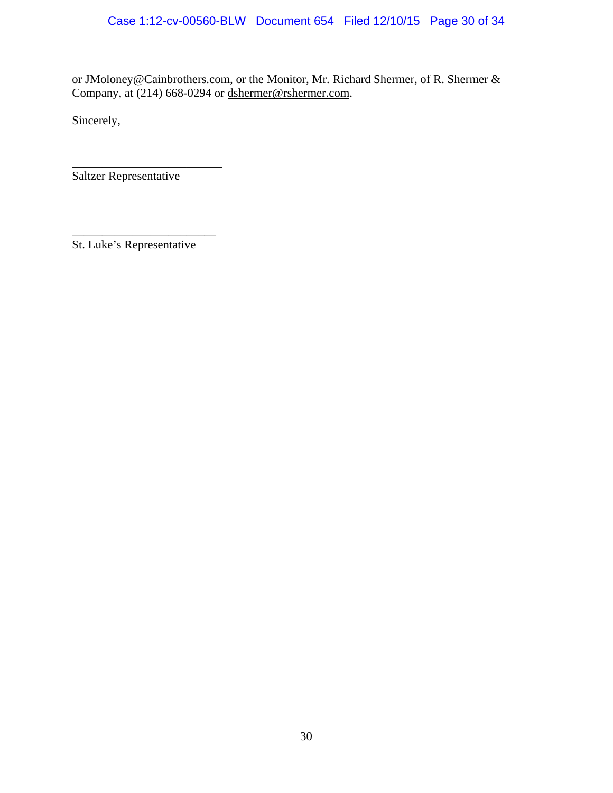or JMoloney@Cainbrothers.com, or the Monitor, Mr. Richard Shermer, of R. Shermer & Company, at (214) 668-0294 or dshermer@rshermer.com.

Sincerely,

Saltzer Representative

\_\_\_\_\_\_\_\_\_\_\_\_\_\_\_\_\_\_\_\_\_\_\_\_\_

St. Luke's Representative

\_\_\_\_\_\_\_\_\_\_\_\_\_\_\_\_\_\_\_\_\_\_\_\_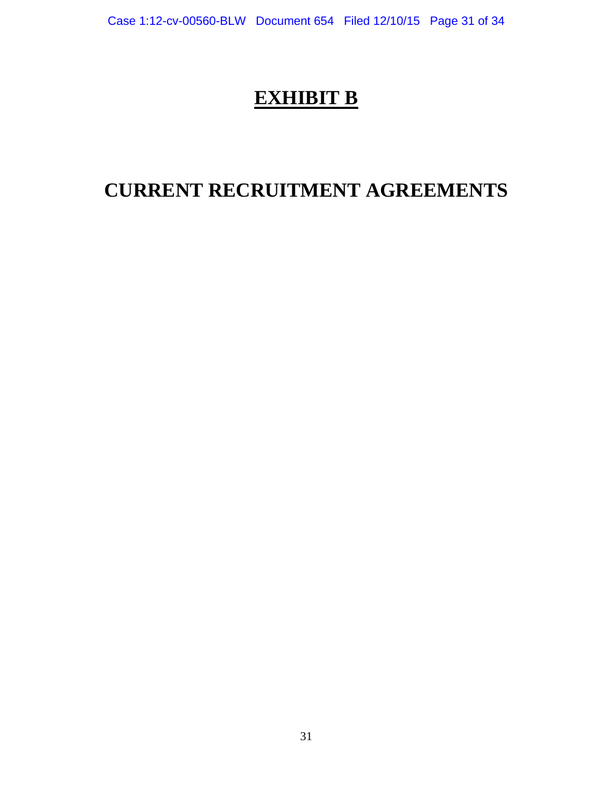# **EXHIBIT B**

# **CURRENT RECRUITMENT AGREEMENTS**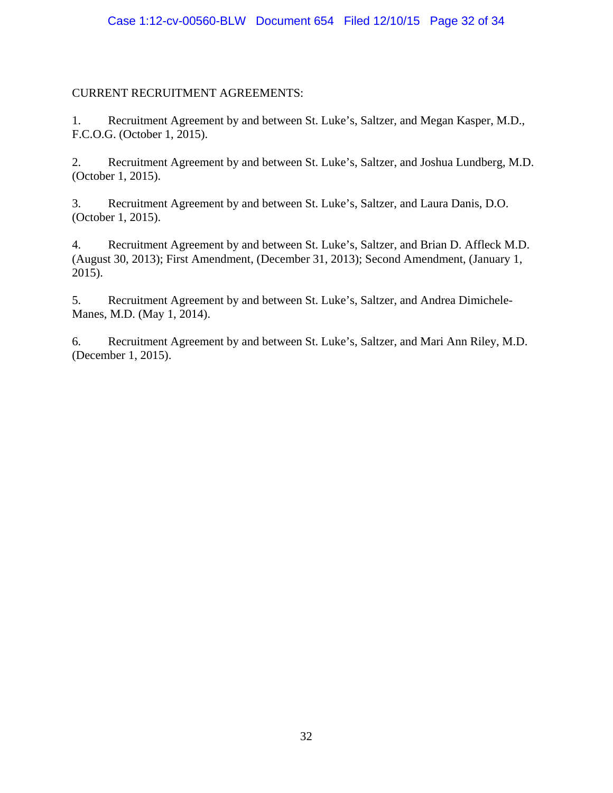## CURRENT RECRUITMENT AGREEMENTS:

1. Recruitment Agreement by and between St. Luke's, Saltzer, and Megan Kasper, M.D., F.C.O.G. (October 1, 2015).

2. Recruitment Agreement by and between St. Luke's, Saltzer, and Joshua Lundberg, M.D. (October 1, 2015).

3. Recruitment Agreement by and between St. Luke's, Saltzer, and Laura Danis, D.O. (October 1, 2015).

4. Recruitment Agreement by and between St. Luke's, Saltzer, and Brian D. Affleck M.D. (August 30, 2013); First Amendment, (December 31, 2013); Second Amendment, (January 1, 2015).

5. Recruitment Agreement by and between St. Luke's, Saltzer, and Andrea Dimichele-Manes, M.D. (May 1, 2014).

6. Recruitment Agreement by and between St. Luke's, Saltzer, and Mari Ann Riley, M.D. (December 1, 2015).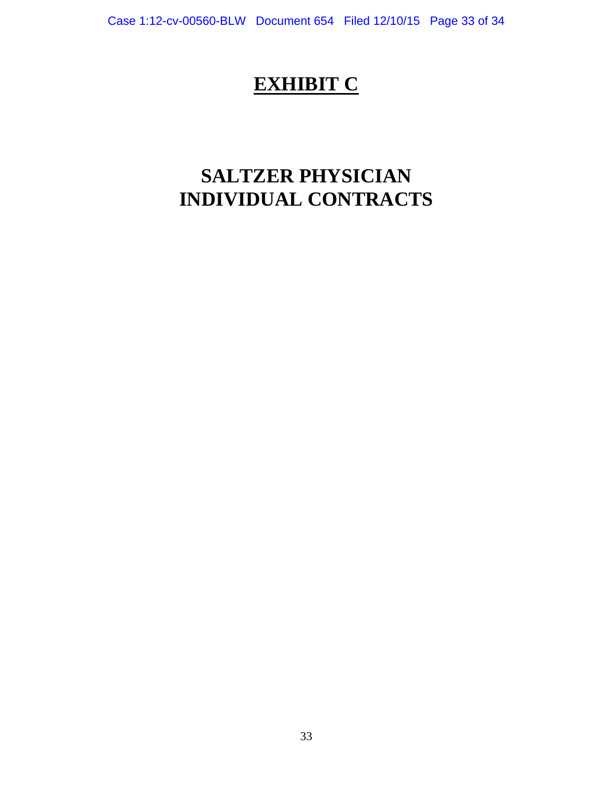# **EXHIBIT C**

# **SALTZER PHYSICIAN INDIVIDUAL CONTRACTS**